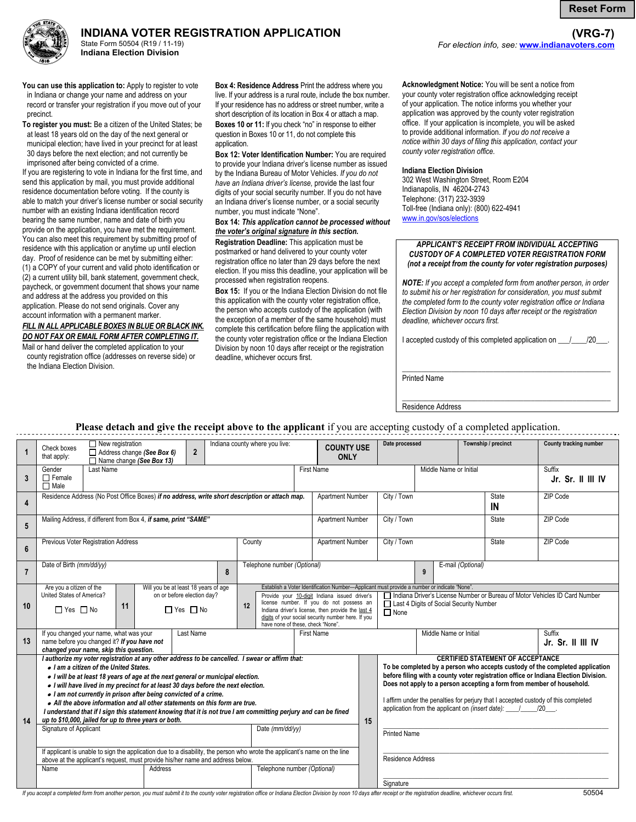**Reset Form**

**(VRG-7)** 





State Form 50504 (R19 / 11-19) **Indiana Election Division** 

**You can use this application to:** Apply to register to vote in Indiana or change your name and address on your record or transfer your registration if you move out of your precinct.

**To register you must:** Be a citizen of the United States; be at least 18 years old on the day of the next general or municipal election; have lived in your precinct for at least 30 days before the next election; and not currently be imprisoned after being convicted of a crime.

If you are registering to vote in Indiana for the first time, and send this application by mail, you must provide additional residence documentation before voting. If the county is able to match your driver's license number or social security number with an existing Indiana identification record bearing the same number, name and date of birth you provide on the application, you have met the requirement. You can also meet this requirement by submitting proof of residence with this application or anytime up until election day. Proof of residence can be met by submitting either: (1) a COPY of your current and valid photo identification or (2) a current utility bill, bank statement, government check, paycheck, or government document that shows your name and address at the address you provided on this application. Please do not send originals. Cover any account information with a permanent marker. *FILL IN ALL APPLICABLE BOXES IN BLUE OR BLACK INK.* 

*DO NOT FAX OR EMAIL FORM AFTER COMPLETING IT.*  Mail or hand deliver the completed application to your

county registration office (addresses on reverse side) or the Indiana Election Division.

**Box 4: Residence Address** Print the address where you live. If your address is a rural route, include the box number. If your residence has no address or street number, write a short description of its location in Box 4 or attach a map.

**Boxes 10 or 11:** If you check "no" in response to either question in Boxes 10 or 11, do not complete this application.

**Box 12: Voter Identification Number:** You are required to provide your Indiana driver's license number as issued by the Indiana Bureau of Motor Vehicles. *If you do not have an Indiana driver's license,* provide the last four digits of your social security number. If you do not have an Indiana driver's license number, or a social security number, you must indicate "None".

# **Box 14:** *This application cannot be processed without the voter's original signature in this section.*

**Registration Deadline:** This application must be postmarked or hand delivered to your county voter registration office no later than 29 days before the next election. If you miss this deadline, your application will be processed when registration reopens.

**Box 15:** If you or the Indiana Election Division do not file this application with the county voter registration office, the person who accepts custody of the application (with the exception of a member of the same household) must complete this certification before filing the application with the county voter registration office or the Indiana Election Division by noon 10 days after receipt or the registration deadline, whichever occurs first.

**Acknowledgment Notice:** You will be sent a notice from your county voter registration office acknowledging receipt of your application. The notice informs you whether your application was approved by the county voter registration office. If your application is incomplete, you will be asked to provide additional information. *If you do not receive a notice within 30 days of filing this application, contact your county voter registration office.*

*For election info, see:* **<www.indianavoters.com>**

# **Indiana Election Division**

302 West Washington Street, Room E204 Indianapolis, IN 46204-2743 Telephone: (317) 232-3939 Toll-free (Indiana only): (800) 622-4941 <www.in.gov/sos/elections>

### *APPLICANT'S RECEIPT FROM INDIVIDUAL ACCEPTING CUSTODY OF A COMPLETED VOTER REGISTRATION FORM (not a receipt from the county for voter registration purposes)*

*NOTE: If you accept a completed form from another person, in order to submit his or her registration for consideration, you must submit the completed form to the county voter registration office or Indiana Election Division by noon 10 days after receipt or the registration deadline, whichever occurs first.* 

I accepted custody of this completed application on  $\frac{1}{2}$ 

\_\_\_\_\_\_\_\_\_\_\_\_\_\_\_\_\_\_\_\_\_\_\_\_\_\_\_\_\_\_\_\_\_\_\_\_\_\_\_\_\_\_\_\_\_\_\_\_\_\_\_\_\_\_\_

\_\_\_\_\_\_\_\_\_\_\_\_\_\_\_\_\_\_\_\_\_\_\_\_\_\_\_\_\_\_\_\_\_\_\_\_\_\_\_\_\_\_\_\_\_\_\_\_\_\_\_\_\_\_\_

Printed Name

Residence Address

# **Please detach and give the receipt above to the applicant** if you are accepting custody of a completed application.

| $\mathbf{1}$ | $\Box$ New registration<br>Check boxes<br>$\overline{2}$<br>$\Box$ Address change (See Box 6)<br>that apply:<br>Name change (See Box 13)                                                                                                                                                                                                                                                                                                                                                                                                                                                                                                                                                                                                                                                                                                                                                                                                                       |                   |  | Indiana county where you live: |                             | <b>COUNTY USE</b><br><b>ONLY</b>                                                                                                                                                                                                                                                                                                        |                         | Date processed |                                                                                                                                                                                                                                                                                                                                                                                                                                                                                       | Township / precinct                                                                                                                    | County tracking number |             |          |
|--------------|----------------------------------------------------------------------------------------------------------------------------------------------------------------------------------------------------------------------------------------------------------------------------------------------------------------------------------------------------------------------------------------------------------------------------------------------------------------------------------------------------------------------------------------------------------------------------------------------------------------------------------------------------------------------------------------------------------------------------------------------------------------------------------------------------------------------------------------------------------------------------------------------------------------------------------------------------------------|-------------------|--|--------------------------------|-----------------------------|-----------------------------------------------------------------------------------------------------------------------------------------------------------------------------------------------------------------------------------------------------------------------------------------------------------------------------------------|-------------------------|----------------|---------------------------------------------------------------------------------------------------------------------------------------------------------------------------------------------------------------------------------------------------------------------------------------------------------------------------------------------------------------------------------------------------------------------------------------------------------------------------------------|----------------------------------------------------------------------------------------------------------------------------------------|------------------------|-------------|----------|
| 3            | Gender<br>Last Name<br>$\Box$ Female<br>$\Box$ Male                                                                                                                                                                                                                                                                                                                                                                                                                                                                                                                                                                                                                                                                                                                                                                                                                                                                                                            | <b>First Name</b> |  |                                |                             | Middle Name or Initial                                                                                                                                                                                                                                                                                                                  |                         |                |                                                                                                                                                                                                                                                                                                                                                                                                                                                                                       | Suffix<br>Jr. Sr. II III IV                                                                                                            |                        |             |          |
| 4            | Residence Address (No Post Office Boxes) if no address, write short description or attach map.                                                                                                                                                                                                                                                                                                                                                                                                                                                                                                                                                                                                                                                                                                                                                                                                                                                                 |                   |  |                                |                             | <b>Apartment Number</b>                                                                                                                                                                                                                                                                                                                 |                         |                | City / Town                                                                                                                                                                                                                                                                                                                                                                                                                                                                           |                                                                                                                                        |                        | State<br>IN | ZIP Code |
| 5            | Mailing Address, if different from Box 4, if same, print "SAME"<br>Apartment Number                                                                                                                                                                                                                                                                                                                                                                                                                                                                                                                                                                                                                                                                                                                                                                                                                                                                            |                   |  |                                |                             |                                                                                                                                                                                                                                                                                                                                         |                         |                | City / Town<br><b>State</b>                                                                                                                                                                                                                                                                                                                                                                                                                                                           |                                                                                                                                        |                        |             | ZIP Code |
| 6            | Previous Voter Registration Address                                                                                                                                                                                                                                                                                                                                                                                                                                                                                                                                                                                                                                                                                                                                                                                                                                                                                                                            |                   |  |                                | County                      |                                                                                                                                                                                                                                                                                                                                         | <b>Apartment Number</b> |                | City / Town                                                                                                                                                                                                                                                                                                                                                                                                                                                                           |                                                                                                                                        |                        | State       | ZIP Code |
| 7            | Date of Birth (mm/dd/yy)<br>8                                                                                                                                                                                                                                                                                                                                                                                                                                                                                                                                                                                                                                                                                                                                                                                                                                                                                                                                  |                   |  |                                | Telephone number (Optional) |                                                                                                                                                                                                                                                                                                                                         |                         |                | E-mail (Optional)<br>9                                                                                                                                                                                                                                                                                                                                                                                                                                                                |                                                                                                                                        |                        |             |          |
| 10           | Are you a citizen of the<br>Will you be at least 18 years of age<br>United States of America?<br>on or before election day?<br>11<br>$\Box$ Yes $\Box$ No<br>$\Box$ Yes $\Box$ No                                                                                                                                                                                                                                                                                                                                                                                                                                                                                                                                                                                                                                                                                                                                                                              |                   |  |                                | 12                          | Establish a Voter Identification Number-Applicant must provide a number or indicate "None"<br>Provide your 10-digit Indiana issued driver's<br>license number. If you do not possess an<br>Indiana driver's license, then provide the last 4<br>digits of your social security number here. If you<br>have none of these, check "None". |                         |                |                                                                                                                                                                                                                                                                                                                                                                                                                                                                                       | □ Indiana Driver's License Number or Bureau of Motor Vehicles ID Card Number<br>Last 4 Digits of Social Security Number<br>$\Box$ None |                        |             |          |
| 13           | If you changed your name, what was your<br>name before you changed it? If you have not<br>changed your name, skip this question.                                                                                                                                                                                                                                                                                                                                                                                                                                                                                                                                                                                                                                                                                                                                                                                                                               | <b>First Name</b> |  |                                |                             | Middle Name or Initial                                                                                                                                                                                                                                                                                                                  |                         |                |                                                                                                                                                                                                                                                                                                                                                                                                                                                                                       | Suffix<br>Jr. Sr. II III IV                                                                                                            |                        |             |          |
| 14           | I authorize my voter registration at any other address to be cancelled. I swear or affirm that:<br>. I am a citizen of the United States.<br>. I will be at least 18 years of age at the next general or municipal election.<br>. I will have lived in my precinct for at least 30 days before the next election.<br>. I am not currently in prison after being convicted of a crime.<br>. All the above information and all other statements on this form are true.<br>I understand that if I sign this statement knowing that it is not true I am committing perjury and can be fined<br>up to \$10,000, jailed for up to three years or both.<br>Signature of Applicant<br>Date (mm/dd/yy)<br>If applicant is unable to sign the application due to a disability, the person who wrote the applicant's name on the line<br>above at the applicant's request, must provide his/her name and address below.<br>Address<br>Telephone number (Optional)<br>Name |                   |  |                                |                             |                                                                                                                                                                                                                                                                                                                                         |                         | 15             | <b>CERTIFIED STATEMENT OF ACCEPTANCE</b><br>To be completed by a person who accepts custody of the completed application<br>before filing with a county voter registration office or Indiana Election Division.<br>Does not apply to a person accepting a form from member of household.<br>I affirm under the penalties for perjury that I accepted custody of this completed<br>application from the applicant on (insert date): 1 / 20<br><b>Printed Name</b><br>Residence Address |                                                                                                                                        |                        |             |          |
|              |                                                                                                                                                                                                                                                                                                                                                                                                                                                                                                                                                                                                                                                                                                                                                                                                                                                                                                                                                                |                   |  |                                |                             |                                                                                                                                                                                                                                                                                                                                         |                         |                | Signature                                                                                                                                                                                                                                                                                                                                                                                                                                                                             |                                                                                                                                        |                        |             |          |

If you accept a completed form from another person, you must submit it to the county voter registration office or Indiana Election Division by noon 10 days after receipt or the registration deadline, whichever occurs first